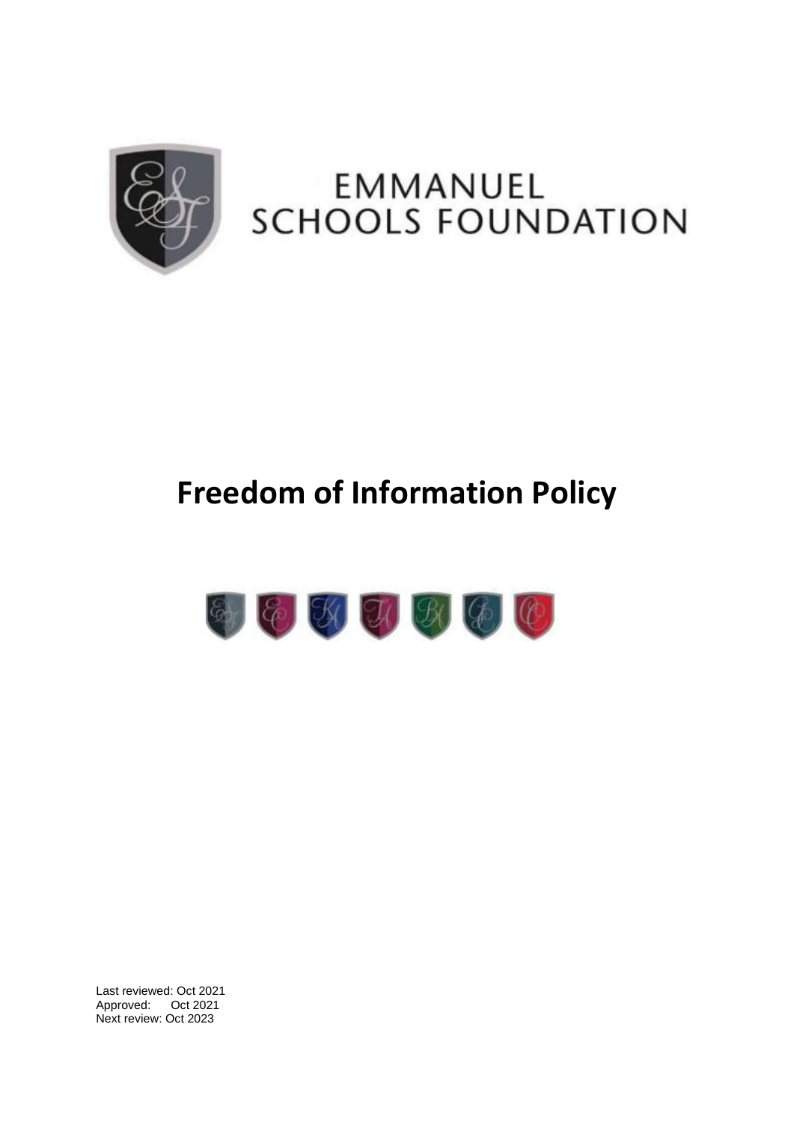

# EMMANUEL **SCHOOLS FOUNDATION**

# **Freedom of Information Policy**



Last reviewed: Oct 2021 Approved: Oct 2021 Next review: Oct 2023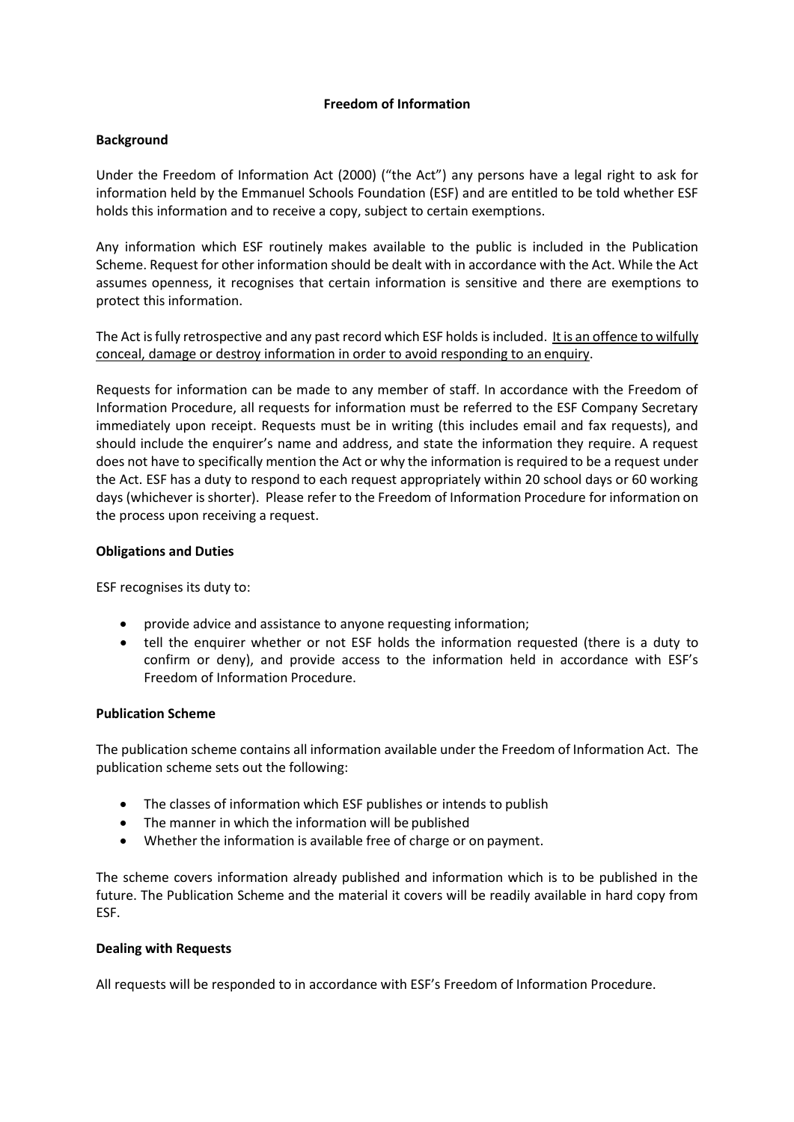## **Freedom of Information**

#### **Background**

Under the Freedom of Information Act (2000) ("the Act") any persons have a legal right to ask for information held by the Emmanuel Schools Foundation (ESF) and are entitled to be told whether ESF holds this information and to receive a copy, subject to certain exemptions.

Any information which ESF routinely makes available to the public is included in the Publication Scheme. Request for other information should be dealt with in accordance with the Act. While the Act assumes openness, it recognises that certain information is sensitive and there are exemptions to protect this information.

The Act isfully retrospective and any past record which ESF holds isincluded. It is an offence to wilfully conceal, damage or destroy information in order to avoid responding to an enquiry.

Requests for information can be made to any member of staff. In accordance with the Freedom of Information Procedure, all requests for information must be referred to the ESF Company Secretary immediately upon receipt. Requests must be in writing (this includes email and fax requests), and should include the enquirer's name and address, and state the information they require. A request does not have to specifically mention the Act or why the information is required to be a request under the Act. ESF has a duty to respond to each request appropriately within 20 school days or 60 working days (whichever is shorter). Please refer to the Freedom of Information Procedure for information on the process upon receiving a request.

## **Obligations and Duties**

ESF recognises its duty to:

- provide advice and assistance to anyone requesting information;
- tell the enquirer whether or not ESF holds the information requested (there is a duty to confirm or deny), and provide access to the information held in accordance with ESF's Freedom of Information Procedure.

#### **Publication Scheme**

The publication scheme contains all information available under the Freedom of Information Act. The publication scheme sets out the following:

- The classes of information which ESF publishes or intends to publish
- The manner in which the information will be published
- Whether the information is available free of charge or on payment.

The scheme covers information already published and information which is to be published in the future. The Publication Scheme and the material it covers will be readily available in hard copy from ESF.

#### **Dealing with Requests**

All requests will be responded to in accordance with ESF's Freedom of Information Procedure.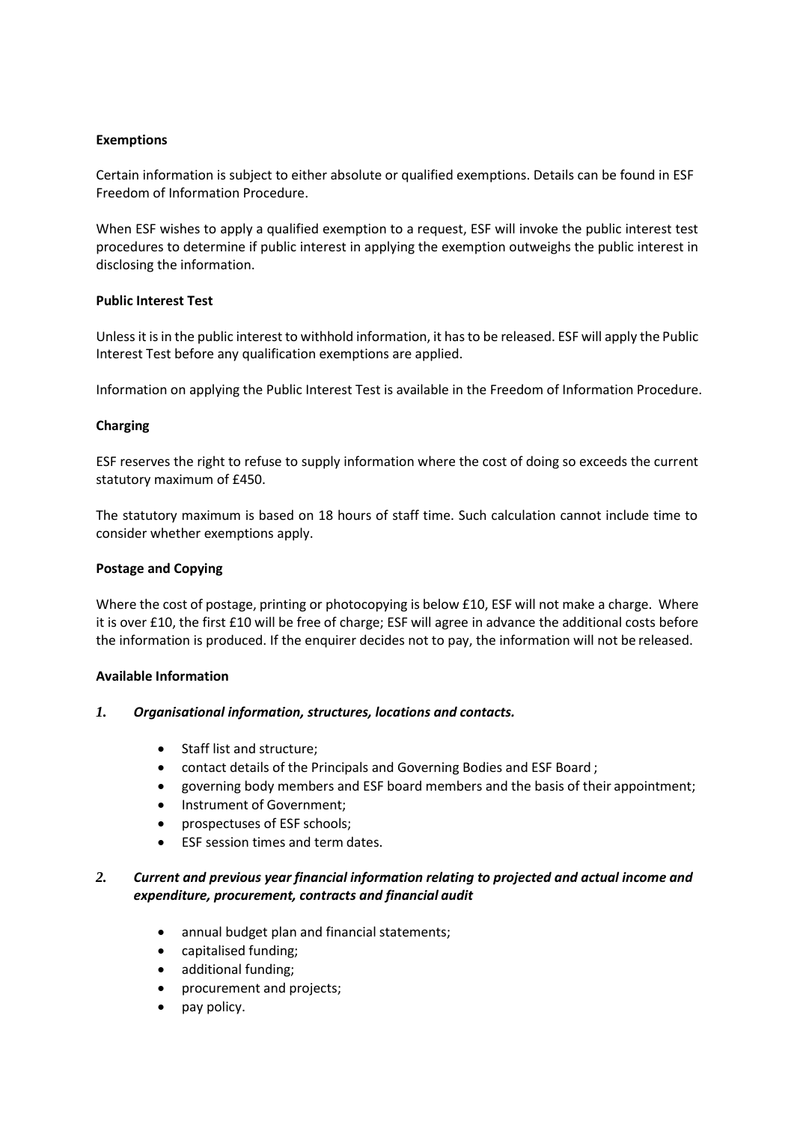#### **Exemptions**

Certain information is subject to either absolute or qualified exemptions. Details can be found in ESF Freedom of Information Procedure.

When ESF wishes to apply a qualified exemption to a request, ESF will invoke the public interest test procedures to determine if public interest in applying the exemption outweighs the public interest in disclosing the information.

#### **Public Interest Test**

Unless it is in the public interest to withhold information, it has to be released. ESF will apply the Public Interest Test before any qualification exemptions are applied.

Information on applying the Public Interest Test is available in the Freedom of Information Procedure.

## **Charging**

ESF reserves the right to refuse to supply information where the cost of doing so exceeds the current statutory maximum of £450.

The statutory maximum is based on 18 hours of staff time. Such calculation cannot include time to consider whether exemptions apply.

#### **Postage and Copying**

Where the cost of postage, printing or photocopying is below £10, ESF will not make a charge. Where it is over £10, the first £10 will be free of charge; ESF will agree in advance the additional costs before the information is produced. If the enquirer decides not to pay, the information will not be released.

#### **Available Information**

#### *1. Organisational information, structures, locations and contacts.*

- Staff list and structure;
- contact details of the Principals and Governing Bodies and ESF Board ;
- governing body members and ESF board members and the basis of their appointment;
- Instrument of Government;
- prospectuses of ESF schools;
- ESF session times and term dates.

## *2. Current and previous year financial information relating to projected and actual income and expenditure, procurement, contracts and financial audit*

- annual budget plan and financial statements;
- capitalised funding;
- additional funding;
- procurement and projects;
- pay policy.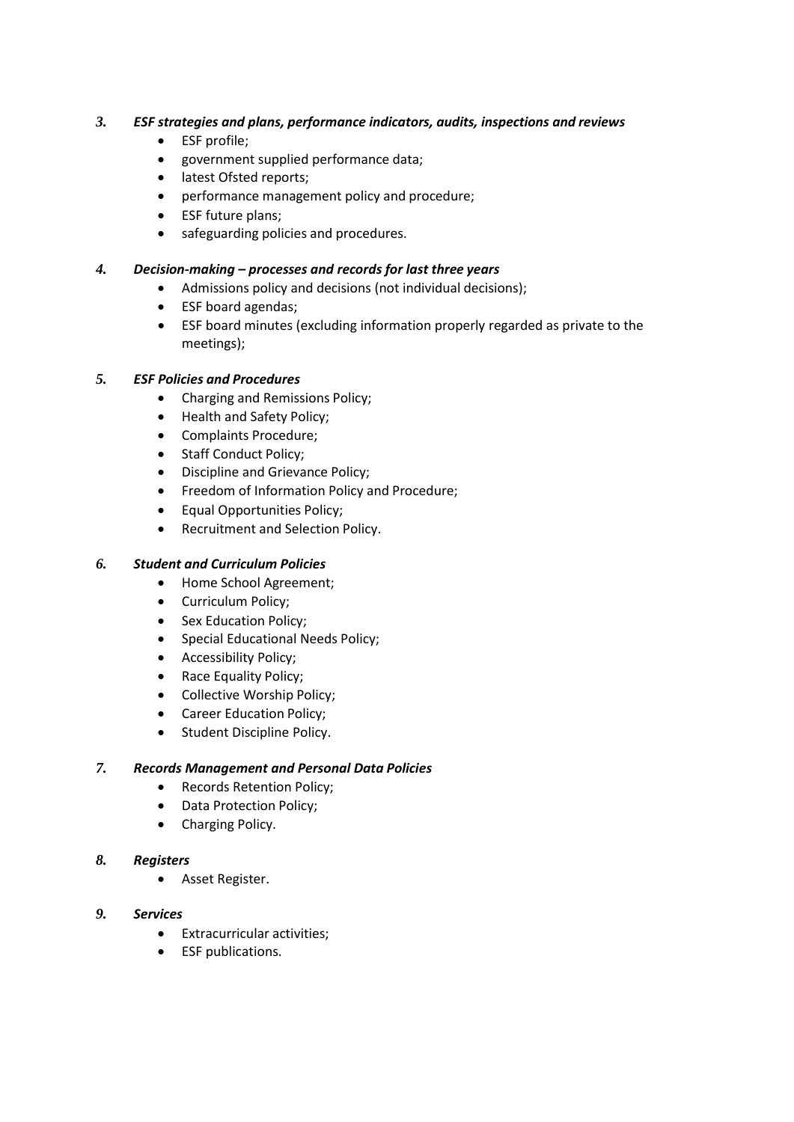## *3. ESF strategies and plans, performance indicators, audits, inspections and reviews*

- ESF profile;
- government supplied performance data;
- latest Ofsted reports;
- performance management policy and procedure;
- ESF future plans;
- safeguarding policies and procedures.

## *4. Decision-making – processes and records for last three years*

- Admissions policy and decisions (not individual decisions);
- ESF board agendas;
- ESF board minutes (excluding information properly regarded as private to the meetings);

## *5. ESF Policies and Procedures*

- Charging and Remissions Policy;
- Health and Safety Policy;
- Complaints Procedure;
- Staff Conduct Policy;
- Discipline and Grievance Policy;
- Freedom of Information Policy and Procedure;
- Equal Opportunities Policy;
- Recruitment and Selection Policy.

## *6. Student and Curriculum Policies*

- Home School Agreement;
- Curriculum Policy;
- Sex Education Policy;
- Special Educational Needs Policy;
- Accessibility Policy;
- Race Equality Policy;
- Collective Worship Policy;
- Career Education Policy;
- Student Discipline Policy.

## *7. Records Management and Personal Data Policies*

- Records Retention Policy;
- Data Protection Policy;
- Charging Policy.

## *8. Registers*

• Asset Register.

## *9. Services*

- Extracurricular activities;
- ESF publications.